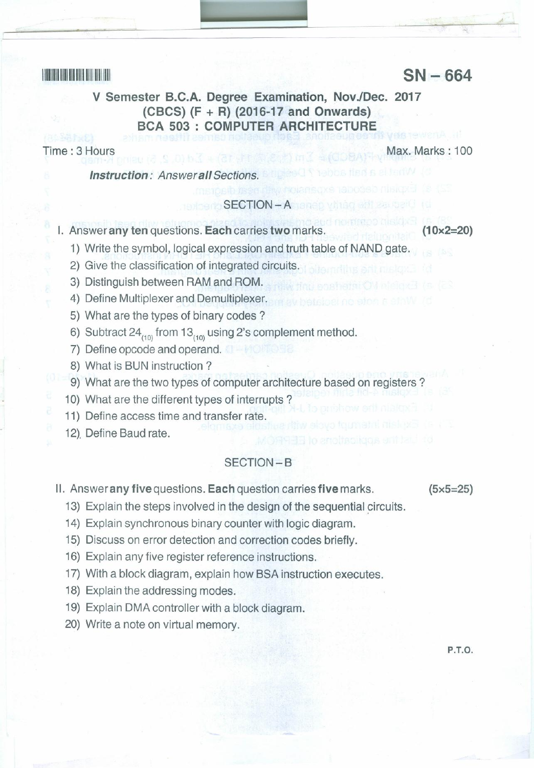# <sup>11111111111111111111111111111111111</sup> **SN - 664**

## **V Semester B.C.A. Degree Examination, NovJDec. 2017 (CBCS) (F + R) (2016-17 and Onwards) BCA 503 : COMPUTER ARCHITECT**

Time: 3 Hours Max. Marks: 100

*Instruction: Answerall Sections.*

#### SECTION-A

I. Answer **any ten** questions. **Each** carries **two** marks. **(10x2=20)**

- 1) Write the symbol, logical expression and truth table of NAND gate.
- 2) Give the classification of integrated circuits.
- 3) Distinguish between RAM and ROM.
- 4) Define Multiplexer and Demultiplexer.
- 5) What are the types of binary codes?
- 6) Subtract  $24_{(10)}$  from  $13_{(10)}$  using 2's complement method.
- 7) Define opcode and operand.
- 8) What is BUN instruction?
- 9) What are the two types of computer architecture based on registers?
- 10) What are the different types of interrupts?
- 11) Define access time and transfer rate.
- 12), Define Baud rate.

### SECTION-B

II. Answer **any five** questions. **Each** question carries **five** marks.

**(5x5=25)**

- 13) Explain the steps involved in the design of the sequential circuits.
- 14) Explain synchronous binary counter with logic diagram.
- 15) Discuss on error detection and correction codes briefly.
- 16) Explain any five register reference instructions.
- 17) With a block diagram, explain how BSA instruction executes.
- 18) Explain the addressing modes.
- 19) Explain DMA controller with a block diagram.
- 20) Write a note on virtual memory.

p.T.a.